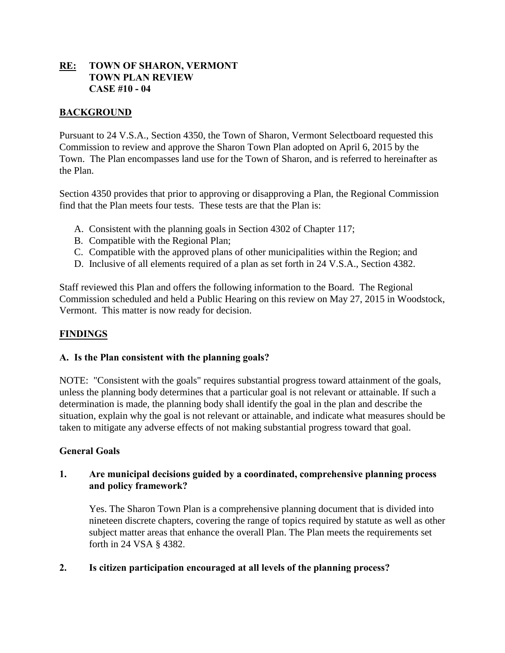# **RE: TOWN OF SHARON, VERMONT TOWN PLAN REVIEW CASE #10 - 04**

# **BACKGROUND**

Pursuant to 24 V.S.A., Section 4350, the Town of Sharon, Vermont Selectboard requested this Commission to review and approve the Sharon Town Plan adopted on April 6, 2015 by the Town. The Plan encompasses land use for the Town of Sharon, and is referred to hereinafter as the Plan.

Section 4350 provides that prior to approving or disapproving a Plan, the Regional Commission find that the Plan meets four tests. These tests are that the Plan is:

- A. Consistent with the planning goals in Section 4302 of Chapter 117;
- B. Compatible with the Regional Plan;
- C. Compatible with the approved plans of other municipalities within the Region; and
- D. Inclusive of all elements required of a plan as set forth in 24 V.S.A., Section 4382.

Staff reviewed this Plan and offers the following information to the Board. The Regional Commission scheduled and held a Public Hearing on this review on May 27, 2015 in Woodstock, Vermont. This matter is now ready for decision.

# **FINDINGS**

#### **A. Is the Plan consistent with the planning goals?**

NOTE: "Consistent with the goals" requires substantial progress toward attainment of the goals, unless the planning body determines that a particular goal is not relevant or attainable. If such a determination is made, the planning body shall identify the goal in the plan and describe the situation, explain why the goal is not relevant or attainable, and indicate what measures should be taken to mitigate any adverse effects of not making substantial progress toward that goal.

#### **General Goals**

# **1. Are municipal decisions guided by a coordinated, comprehensive planning process and policy framework?**

Yes. The Sharon Town Plan is a comprehensive planning document that is divided into nineteen discrete chapters, covering the range of topics required by statute as well as other subject matter areas that enhance the overall Plan. The Plan meets the requirements set forth in 24 VSA § 4382.

# **2. Is citizen participation encouraged at all levels of the planning process?**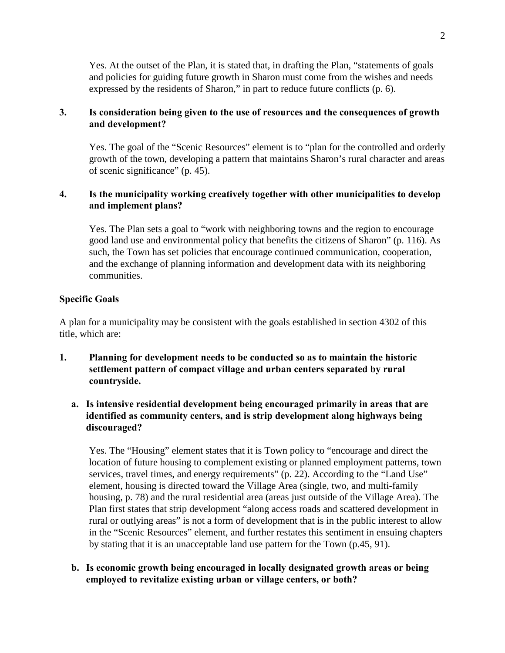Yes. At the outset of the Plan, it is stated that, in drafting the Plan, "statements of goals and policies for guiding future growth in Sharon must come from the wishes and needs expressed by the residents of Sharon," in part to reduce future conflicts (p. 6).

## **3. Is consideration being given to the use of resources and the consequences of growth and development?**

Yes. The goal of the "Scenic Resources" element is to "plan for the controlled and orderly growth of the town, developing a pattern that maintains Sharon's rural character and areas of scenic significance" (p. 45).

## **4. Is the municipality working creatively together with other municipalities to develop and implement plans?**

Yes. The Plan sets a goal to "work with neighboring towns and the region to encourage good land use and environmental policy that benefits the citizens of Sharon" (p. 116). As such, the Town has set policies that encourage continued communication, cooperation, and the exchange of planning information and development data with its neighboring communities.

## **Specific Goals**

A plan for a municipality may be consistent with the goals established in section 4302 of this title, which are:

- **1. Planning for development needs to be conducted so as to maintain the historic settlement pattern of compact village and urban centers separated by rural countryside.**
	- **a. Is intensive residential development being encouraged primarily in areas that are identified as community centers, and is strip development along highways being discouraged?**

Yes. The "Housing" element states that it is Town policy to "encourage and direct the location of future housing to complement existing or planned employment patterns, town services, travel times, and energy requirements" (p. 22). According to the "Land Use" element, housing is directed toward the Village Area (single, two, and multi-family housing, p. 78) and the rural residential area (areas just outside of the Village Area). The Plan first states that strip development "along access roads and scattered development in rural or outlying areas" is not a form of development that is in the public interest to allow in the "Scenic Resources" element, and further restates this sentiment in ensuing chapters by stating that it is an unacceptable land use pattern for the Town (p.45, 91).

**b. Is economic growth being encouraged in locally designated growth areas or being employed to revitalize existing urban or village centers, or both?**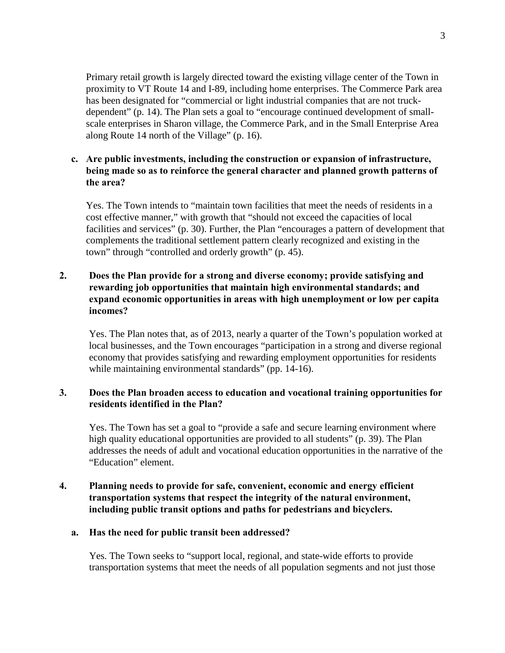Primary retail growth is largely directed toward the existing village center of the Town in proximity to VT Route 14 and I-89, including home enterprises. The Commerce Park area has been designated for "commercial or light industrial companies that are not truckdependent" (p. 14). The Plan sets a goal to "encourage continued development of smallscale enterprises in Sharon village, the Commerce Park, and in the Small Enterprise Area along Route 14 north of the Village" (p. 16).

## **c. Are public investments, including the construction or expansion of infrastructure, being made so as to reinforce the general character and planned growth patterns of the area?**

Yes. The Town intends to "maintain town facilities that meet the needs of residents in a cost effective manner," with growth that "should not exceed the capacities of local facilities and services" (p. 30). Further, the Plan "encourages a pattern of development that complements the traditional settlement pattern clearly recognized and existing in the town" through "controlled and orderly growth" (p. 45).

# **2. Does the Plan provide for a strong and diverse economy; provide satisfying and rewarding job opportunities that maintain high environmental standards; and expand economic opportunities in areas with high unemployment or low per capita incomes?**

Yes. The Plan notes that, as of 2013, nearly a quarter of the Town's population worked at local businesses, and the Town encourages "participation in a strong and diverse regional economy that provides satisfying and rewarding employment opportunities for residents while maintaining environmental standards" (pp. 14-16).

# **3. Does the Plan broaden access to education and vocational training opportunities for residents identified in the Plan?**

Yes. The Town has set a goal to "provide a safe and secure learning environment where high quality educational opportunities are provided to all students" (p. 39). The Plan addresses the needs of adult and vocational education opportunities in the narrative of the "Education" element.

# **4. Planning needs to provide for safe, convenient, economic and energy efficient transportation systems that respect the integrity of the natural environment, including public transit options and paths for pedestrians and bicyclers.**

#### **a. Has the need for public transit been addressed?**

Yes. The Town seeks to "support local, regional, and state-wide efforts to provide transportation systems that meet the needs of all population segments and not just those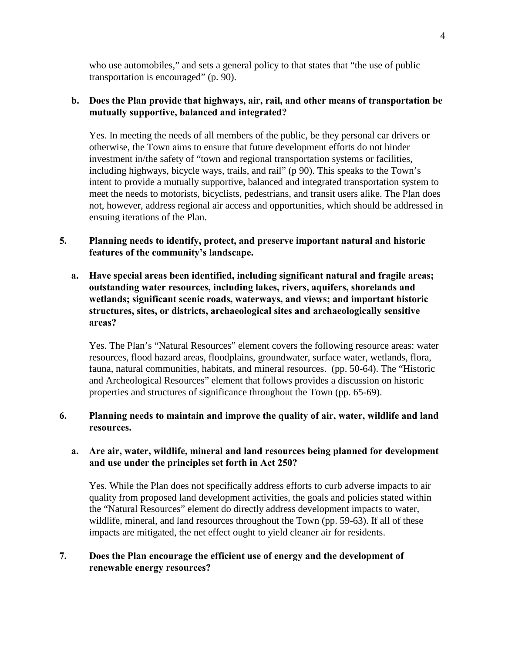who use automobiles," and sets a general policy to that states that "the use of public transportation is encouraged" (p. 90).

# **b. Does the Plan provide that highways, air, rail, and other means of transportation be mutually supportive, balanced and integrated?**

Yes. In meeting the needs of all members of the public, be they personal car drivers or otherwise, the Town aims to ensure that future development efforts do not hinder investment in/the safety of "town and regional transportation systems or facilities, including highways, bicycle ways, trails, and rail" (p 90). This speaks to the Town's intent to provide a mutually supportive, balanced and integrated transportation system to meet the needs to motorists, bicyclists, pedestrians, and transit users alike. The Plan does not, however, address regional air access and opportunities, which should be addressed in ensuing iterations of the Plan.

## **5. Planning needs to identify, protect, and preserve important natural and historic features of the community's landscape.**

**a. Have special areas been identified, including significant natural and fragile areas; outstanding water resources, including lakes, rivers, aquifers, shorelands and wetlands; significant scenic roads, waterways, and views; and important historic structures, sites, or districts, archaeological sites and archaeologically sensitive areas?**

Yes. The Plan's "Natural Resources" element covers the following resource areas: water resources, flood hazard areas, floodplains, groundwater, surface water, wetlands, flora, fauna, natural communities, habitats, and mineral resources. (pp. 50-64). The "Historic and Archeological Resources" element that follows provides a discussion on historic properties and structures of significance throughout the Town (pp. 65-69).

# **6. Planning needs to maintain and improve the quality of air, water, wildlife and land resources.**

# **a. Are air, water, wildlife, mineral and land resources being planned for development and use under the principles set forth in Act 250?**

Yes. While the Plan does not specifically address efforts to curb adverse impacts to air quality from proposed land development activities, the goals and policies stated within the "Natural Resources" element do directly address development impacts to water, wildlife, mineral, and land resources throughout the Town (pp. 59-63). If all of these impacts are mitigated, the net effect ought to yield cleaner air for residents.

# **7. Does the Plan encourage the efficient use of energy and the development of renewable energy resources?**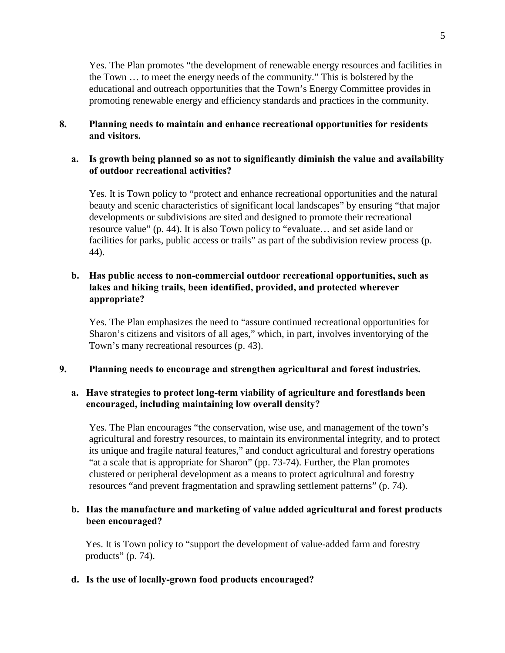Yes. The Plan promotes "the development of renewable energy resources and facilities in the Town … to meet the energy needs of the community." This is bolstered by the educational and outreach opportunities that the Town's Energy Committee provides in promoting renewable energy and efficiency standards and practices in the community.

#### **8. Planning needs to maintain and enhance recreational opportunities for residents and visitors.**

## **a. Is growth being planned so as not to significantly diminish the value and availability of outdoor recreational activities?**

Yes. It is Town policy to "protect and enhance recreational opportunities and the natural beauty and scenic characteristics of significant local landscapes" by ensuring "that major developments or subdivisions are sited and designed to promote their recreational resource value" (p. 44). It is also Town policy to "evaluate… and set aside land or facilities for parks, public access or trails" as part of the subdivision review process (p. 44).

# **b. Has public access to non-commercial outdoor recreational opportunities, such as lakes and hiking trails, been identified, provided, and protected wherever appropriate?**

Yes. The Plan emphasizes the need to "assure continued recreational opportunities for Sharon's citizens and visitors of all ages," which, in part, involves inventorying of the Town's many recreational resources (p. 43).

#### **9. Planning needs to encourage and strengthen agricultural and forest industries.**

## **a. Have strategies to protect long-term viability of agriculture and forestlands been encouraged, including maintaining low overall density?**

Yes. The Plan encourages "the conservation, wise use, and management of the town's agricultural and forestry resources, to maintain its environmental integrity, and to protect its unique and fragile natural features," and conduct agricultural and forestry operations "at a scale that is appropriate for Sharon" (pp. 73-74). Further, the Plan promotes clustered or peripheral development as a means to protect agricultural and forestry resources "and prevent fragmentation and sprawling settlement patterns" (p. 74).

## **b. Has the manufacture and marketing of value added agricultural and forest products been encouraged?**

Yes. It is Town policy to "support the development of value-added farm and forestry products" (p. 74).

#### **d. Is the use of locally-grown food products encouraged?**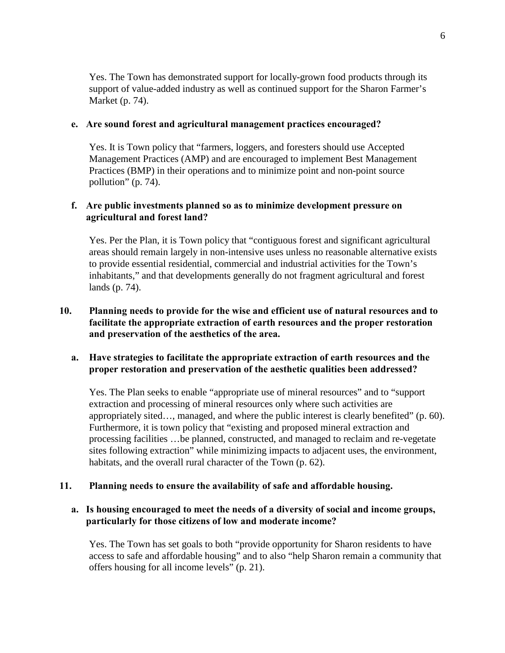Yes. The Town has demonstrated support for locally-grown food products through its support of value-added industry as well as continued support for the Sharon Farmer's Market (p. 74).

#### **e. Are sound forest and agricultural management practices encouraged?**

Yes. It is Town policy that "farmers, loggers, and foresters should use Accepted Management Practices (AMP) and are encouraged to implement Best Management Practices (BMP) in their operations and to minimize point and non-point source pollution" (p. 74).

#### **f. Are public investments planned so as to minimize development pressure on agricultural and forest land?**

Yes. Per the Plan, it is Town policy that "contiguous forest and significant agricultural areas should remain largely in non-intensive uses unless no reasonable alternative exists to provide essential residential, commercial and industrial activities for the Town's inhabitants," and that developments generally do not fragment agricultural and forest lands (p. 74).

# **10. Planning needs to provide for the wise and efficient use of natural resources and to facilitate the appropriate extraction of earth resources and the proper restoration and preservation of the aesthetics of the area.**

## **a. Have strategies to facilitate the appropriate extraction of earth resources and the proper restoration and preservation of the aesthetic qualities been addressed?**

Yes. The Plan seeks to enable "appropriate use of mineral resources" and to "support extraction and processing of mineral resources only where such activities are appropriately sited…, managed, and where the public interest is clearly benefited" (p. 60). Furthermore, it is town policy that "existing and proposed mineral extraction and processing facilities …be planned, constructed, and managed to reclaim and re-vegetate sites following extraction" while minimizing impacts to adjacent uses, the environment, habitats, and the overall rural character of the Town (p. 62).

#### **11. Planning needs to ensure the availability of safe and affordable housing.**

## **a. Is housing encouraged to meet the needs of a diversity of social and income groups, particularly for those citizens of low and moderate income?**

Yes. The Town has set goals to both "provide opportunity for Sharon residents to have access to safe and affordable housing" and to also "help Sharon remain a community that offers housing for all income levels" (p. 21).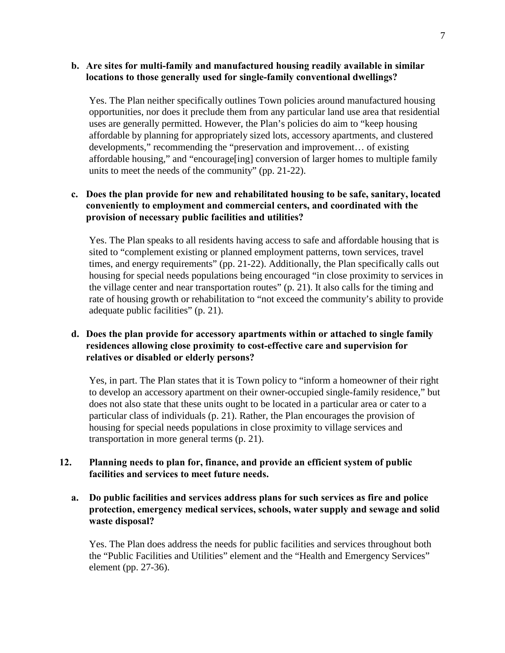### **b. Are sites for multi-family and manufactured housing readily available in similar locations to those generally used for single-family conventional dwellings?**

Yes. The Plan neither specifically outlines Town policies around manufactured housing opportunities, nor does it preclude them from any particular land use area that residential uses are generally permitted. However, the Plan's policies do aim to "keep housing affordable by planning for appropriately sized lots, accessory apartments, and clustered developments," recommending the "preservation and improvement… of existing affordable housing," and "encourage[ing] conversion of larger homes to multiple family units to meet the needs of the community" (pp. 21-22).

# **c. Does the plan provide for new and rehabilitated housing to be safe, sanitary, located conveniently to employment and commercial centers, and coordinated with the provision of necessary public facilities and utilities?**

Yes. The Plan speaks to all residents having access to safe and affordable housing that is sited to "complement existing or planned employment patterns, town services, travel times, and energy requirements" (pp. 21-22). Additionally, the Plan specifically calls out housing for special needs populations being encouraged "in close proximity to services in the village center and near transportation routes" (p. 21). It also calls for the timing and rate of housing growth or rehabilitation to "not exceed the community's ability to provide adequate public facilities" (p. 21).

## **d. Does the plan provide for accessory apartments within or attached to single family residences allowing close proximity to cost-effective care and supervision for relatives or disabled or elderly persons?**

Yes, in part. The Plan states that it is Town policy to "inform a homeowner of their right to develop an accessory apartment on their owner-occupied single-family residence," but does not also state that these units ought to be located in a particular area or cater to a particular class of individuals (p. 21). Rather, the Plan encourages the provision of housing for special needs populations in close proximity to village services and transportation in more general terms (p. 21).

## **12. Planning needs to plan for, finance, and provide an efficient system of public facilities and services to meet future needs.**

## **a. Do public facilities and services address plans for such services as fire and police protection, emergency medical services, schools, water supply and sewage and solid waste disposal?**

Yes. The Plan does address the needs for public facilities and services throughout both the "Public Facilities and Utilities" element and the "Health and Emergency Services" element (pp. 27-36).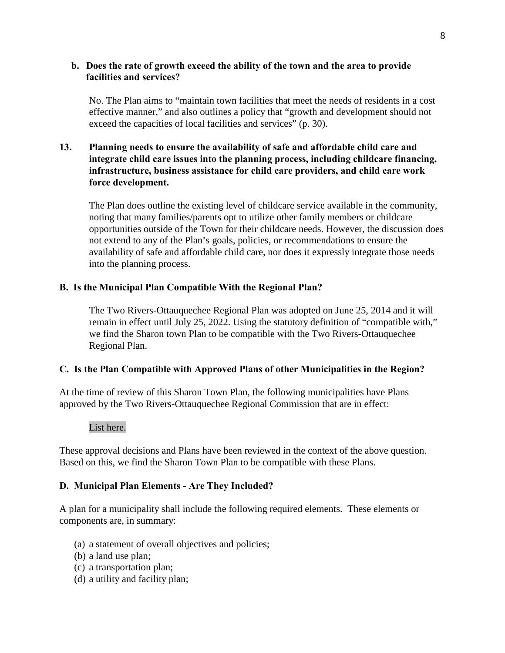#### **b. Does the rate of growth exceed the ability of the town and the area to provide facilities and services?**

No. The Plan aims to "maintain town facilities that meet the needs of residents in a cost effective manner," and also outlines a policy that "growth and development should not exceed the capacities of local facilities and services" (p. 30).

## **13. Planning needs to ensure the availability of safe and affordable child care and integrate child care issues into the planning process, including childcare financing, infrastructure, business assistance for child care providers, and child care work force development.**

The Plan does outline the existing level of childcare service available in the community, noting that many families/parents opt to utilize other family members or childcare opportunities outside of the Town for their childcare needs. However, the discussion does not extend to any of the Plan's goals, policies, or recommendations to ensure the availability of safe and affordable child care, nor does it expressly integrate those needs into the planning process.

# **B. Is the Municipal Plan Compatible With the Regional Plan?**

The Two Rivers-Ottauquechee Regional Plan was adopted on June 25, 2014 and it will remain in effect until July 25, 2022. Using the statutory definition of "compatible with," we find the Sharon town Plan to be compatible with the Two Rivers-Ottauquechee Regional Plan.

# **C. Is the Plan Compatible with Approved Plans of other Municipalities in the Region?**

At the time of review of this Sharon Town Plan, the following municipalities have Plans approved by the Two Rivers-Ottauquechee Regional Commission that are in effect:

#### List here.

These approval decisions and Plans have been reviewed in the context of the above question. Based on this, we find the Sharon Town Plan to be compatible with these Plans.

#### **D. Municipal Plan Elements - Are They Included?**

A plan for a municipality shall include the following required elements. These elements or components are, in summary:

- (a) a statement of overall objectives and policies;
- (b) a land use plan;
- (c) a transportation plan;
- (d) a utility and facility plan;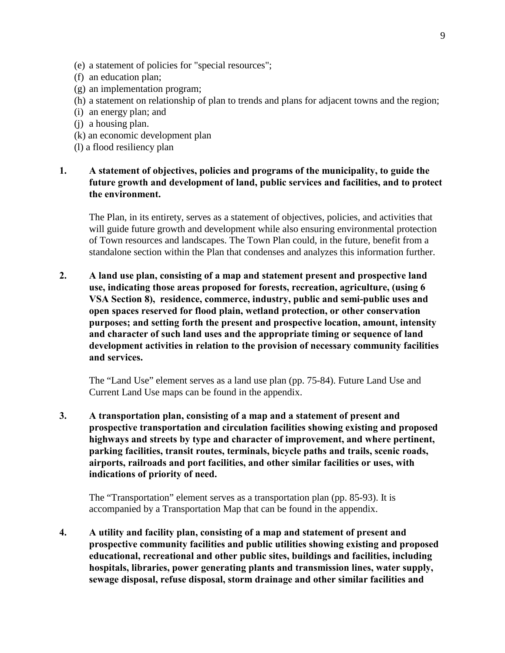- (e) a statement of policies for "special resources";
- (f) an education plan;
- (g) an implementation program;
- (h) a statement on relationship of plan to trends and plans for adjacent towns and the region;
- (i) an energy plan; and
- (j) a housing plan.
- (k) an economic development plan
- (l) a flood resiliency plan

## **1. A statement of objectives, policies and programs of the municipality, to guide the future growth and development of land, public services and facilities, and to protect the environment.**

The Plan, in its entirety, serves as a statement of objectives, policies, and activities that will guide future growth and development while also ensuring environmental protection of Town resources and landscapes. The Town Plan could, in the future, benefit from a standalone section within the Plan that condenses and analyzes this information further.

**2. A land use plan, consisting of a map and statement present and prospective land use, indicating those areas proposed for forests, recreation, agriculture, (using 6 VSA Section 8), residence, commerce, industry, public and semi-public uses and open spaces reserved for flood plain, wetland protection, or other conservation purposes; and setting forth the present and prospective location, amount, intensity and character of such land uses and the appropriate timing or sequence of land development activities in relation to the provision of necessary community facilities and services.**

The "Land Use" element serves as a land use plan (pp. 75-84). Future Land Use and Current Land Use maps can be found in the appendix.

**3. A transportation plan, consisting of a map and a statement of present and prospective transportation and circulation facilities showing existing and proposed highways and streets by type and character of improvement, and where pertinent, parking facilities, transit routes, terminals, bicycle paths and trails, scenic roads, airports, railroads and port facilities, and other similar facilities or uses, with indications of priority of need.** 

The "Transportation" element serves as a transportation plan (pp. 85-93). It is accompanied by a Transportation Map that can be found in the appendix.

**4. A utility and facility plan, consisting of a map and statement of present and prospective community facilities and public utilities showing existing and proposed educational, recreational and other public sites, buildings and facilities, including hospitals, libraries, power generating plants and transmission lines, water supply, sewage disposal, refuse disposal, storm drainage and other similar facilities and**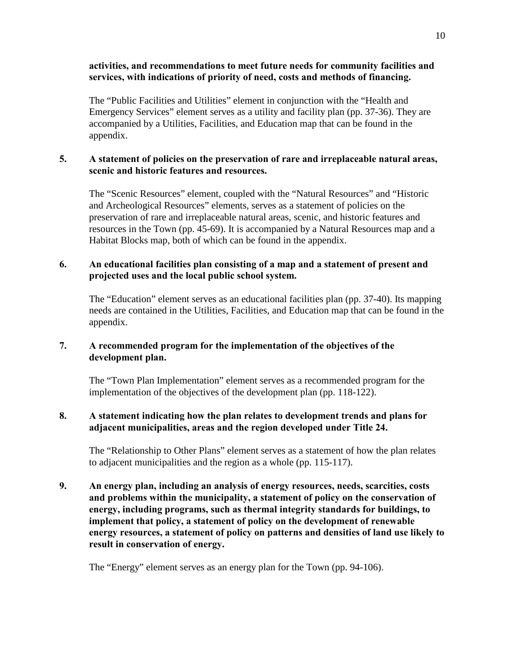## **activities, and recommendations to meet future needs for community facilities and services, with indications of priority of need, costs and methods of financing.**

The "Public Facilities and Utilities" element in conjunction with the "Health and Emergency Services" element serves as a utility and facility plan (pp. 37-36). They are accompanied by a Utilities, Facilities, and Education map that can be found in the appendix.

# **5. A statement of policies on the preservation of rare and irreplaceable natural areas, scenic and historic features and resources.**

The "Scenic Resources" element, coupled with the "Natural Resources" and "Historic and Archeological Resources" elements, serves as a statement of policies on the preservation of rare and irreplaceable natural areas, scenic, and historic features and resources in the Town (pp. 45-69). It is accompanied by a Natural Resources map and a Habitat Blocks map, both of which can be found in the appendix.

# **6. An educational facilities plan consisting of a map and a statement of present and projected uses and the local public school system.**

The "Education" element serves as an educational facilities plan (pp. 37-40). Its mapping needs are contained in the Utilities, Facilities, and Education map that can be found in the appendix.

# **7. A recommended program for the implementation of the objectives of the development plan.**

The "Town Plan Implementation" element serves as a recommended program for the implementation of the objectives of the development plan (pp. 118-122).

# **8. A statement indicating how the plan relates to development trends and plans for adjacent municipalities, areas and the region developed under Title 24.**

The "Relationship to Other Plans" element serves as a statement of how the plan relates to adjacent municipalities and the region as a whole (pp. 115-117).

**9. An energy plan, including an analysis of energy resources, needs, scarcities, costs and problems within the municipality, a statement of policy on the conservation of energy, including programs, such as thermal integrity standards for buildings, to implement that policy, a statement of policy on the development of renewable energy resources, a statement of policy on patterns and densities of land use likely to result in conservation of energy.**

The "Energy" element serves as an energy plan for the Town (pp. 94-106).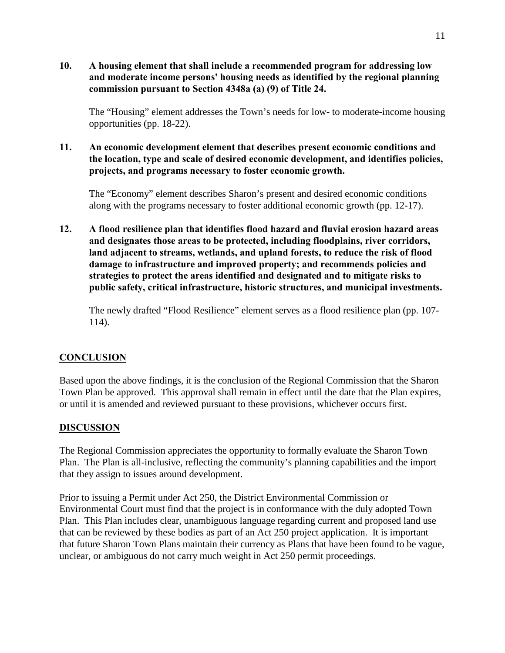**10. A housing element that shall include a recommended program for addressing low and moderate income persons' housing needs as identified by the regional planning commission pursuant to Section 4348a (a) (9) of Title 24.** 

The "Housing" element addresses the Town's needs for low- to moderate-income housing opportunities (pp. 18-22).

**11. An economic development element that describes present economic conditions and the location, type and scale of desired economic development, and identifies policies, projects, and programs necessary to foster economic growth.**

The "Economy" element describes Sharon's present and desired economic conditions along with the programs necessary to foster additional economic growth (pp. 12-17).

**12. A flood resilience plan that identifies flood hazard and fluvial erosion hazard areas and designates those areas to be protected, including floodplains, river corridors, land adjacent to streams, wetlands, and upland forests, to reduce the risk of flood damage to infrastructure and improved property; and recommends policies and strategies to protect the areas identified and designated and to mitigate risks to public safety, critical infrastructure, historic structures, and municipal investments.**

The newly drafted "Flood Resilience" element serves as a flood resilience plan (pp. 107- 114).

# **CONCLUSION**

Based upon the above findings, it is the conclusion of the Regional Commission that the Sharon Town Plan be approved. This approval shall remain in effect until the date that the Plan expires, or until it is amended and reviewed pursuant to these provisions, whichever occurs first.

# **DISCUSSION**

The Regional Commission appreciates the opportunity to formally evaluate the Sharon Town Plan. The Plan is all-inclusive, reflecting the community's planning capabilities and the import that they assign to issues around development.

Prior to issuing a Permit under Act 250, the District Environmental Commission or Environmental Court must find that the project is in conformance with the duly adopted Town Plan. This Plan includes clear, unambiguous language regarding current and proposed land use that can be reviewed by these bodies as part of an Act 250 project application. It is important that future Sharon Town Plans maintain their currency as Plans that have been found to be vague, unclear, or ambiguous do not carry much weight in Act 250 permit proceedings.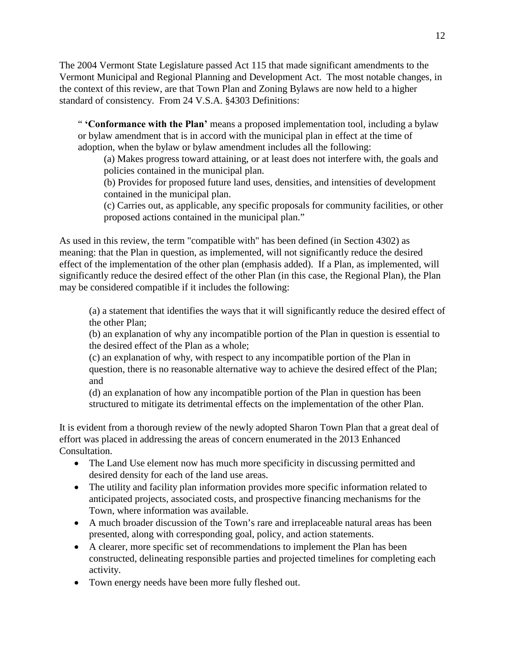The 2004 Vermont State Legislature passed Act 115 that made significant amendments to the Vermont Municipal and Regional Planning and Development Act. The most notable changes, in the context of this review, are that Town Plan and Zoning Bylaws are now held to a higher standard of consistency. From 24 V.S.A. §4303 Definitions:

" **'Conformance with the Plan'** means a proposed implementation tool, including a bylaw or bylaw amendment that is in accord with the municipal plan in effect at the time of adoption, when the bylaw or bylaw amendment includes all the following:

(a) Makes progress toward attaining, or at least does not interfere with, the goals and policies contained in the municipal plan.

(b) Provides for proposed future land uses, densities, and intensities of development contained in the municipal plan.

(c) Carries out, as applicable, any specific proposals for community facilities, or other proposed actions contained in the municipal plan."

As used in this review, the term "compatible with" has been defined (in Section 4302) as meaning: that the Plan in question, as implemented, will not significantly reduce the desired effect of the implementation of the other plan (emphasis added). If a Plan, as implemented, will significantly reduce the desired effect of the other Plan (in this case, the Regional Plan), the Plan may be considered compatible if it includes the following:

(a) a statement that identifies the ways that it will significantly reduce the desired effect of the other Plan;

(b) an explanation of why any incompatible portion of the Plan in question is essential to the desired effect of the Plan as a whole;

(c) an explanation of why, with respect to any incompatible portion of the Plan in question, there is no reasonable alternative way to achieve the desired effect of the Plan; and

(d) an explanation of how any incompatible portion of the Plan in question has been structured to mitigate its detrimental effects on the implementation of the other Plan.

It is evident from a thorough review of the newly adopted Sharon Town Plan that a great deal of effort was placed in addressing the areas of concern enumerated in the 2013 Enhanced Consultation.

- The Land Use element now has much more specificity in discussing permitted and desired density for each of the land use areas.
- The utility and facility plan information provides more specific information related to anticipated projects, associated costs, and prospective financing mechanisms for the Town, where information was available.
- A much broader discussion of the Town's rare and irreplaceable natural areas has been presented, along with corresponding goal, policy, and action statements.
- A clearer, more specific set of recommendations to implement the Plan has been constructed, delineating responsible parties and projected timelines for completing each activity.
- Town energy needs have been more fully fleshed out.